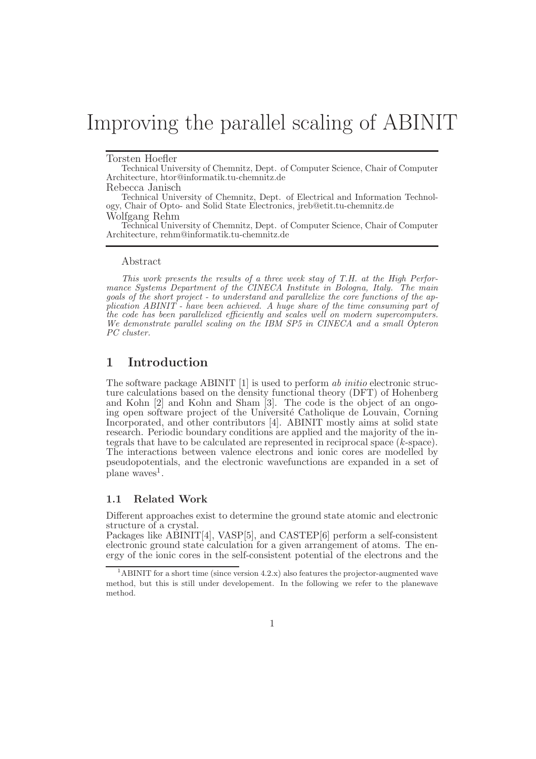# Improving the parallel scaling of ABINIT

#### Torsten Hoefler

Technical University of Chemnitz, Dept. of Computer Science, Chair of Computer Architecture, htor@informatik.tu-chemnitz.de

Rebecca Janisch

Technical University of Chemnitz, Dept. of Electrical and Information Technology, Chair of Opto- and Solid State Electronics, jreb@etit.tu-chemnitz.de Wolfgang Rehm

Technical University of Chemnitz, Dept. of Computer Science, Chair of Computer Architecture, rehm@informatik.tu-chemnitz.de

#### Abstract

This work presents the results of a three week stay of T.H. at the High Performance Systems Department of the CINECA Institute in Bologna, Italy. The main goals of the short project - to understand and parallelize the core functions of the application ABINIT - have been achieved. A huge share of the time consuming part of the code has been parallelized efficiently and scales well on modern supercomputers. We demonstrate parallel scaling on the IBM SP5 in CINECA and a small Opteron PC cluster.

## 1 Introduction

The software package ABINIT [1] is used to perform ab initio electronic structure calculations based on the density functional theory (DFT) of Hohenberg and Kohn [2] and Kohn and Sham [3]. The code is the object of an ongoing open software project of the Université Catholique de Louvain, Corning Incorporated, and other contributors [4]. ABINIT mostly aims at solid state research. Periodic boundary conditions are applied and the majority of the integrals that have to be calculated are represented in reciprocal space (k-space). The interactions between valence electrons and ionic cores are modelled by pseudopotentials, and the electronic wavefunctions are expanded in a set of  $\mu$  plane waves<sup>1</sup>.

#### 1.1 Related Work

Different approaches exist to determine the ground state atomic and electronic structure of a crystal.

Packages like ABINIT[4], VASP[5], and CASTEP[6] perform a self-consistent electronic ground state calculation for a given arrangement of atoms. The energy of the ionic cores in the self-consistent potential of the electrons and the

<sup>&</sup>lt;sup>1</sup>ABINIT for a short time (since version 4.2.x) also features the projector-augmented wave method, but this is still under developement. In the following we refer to the planewave method.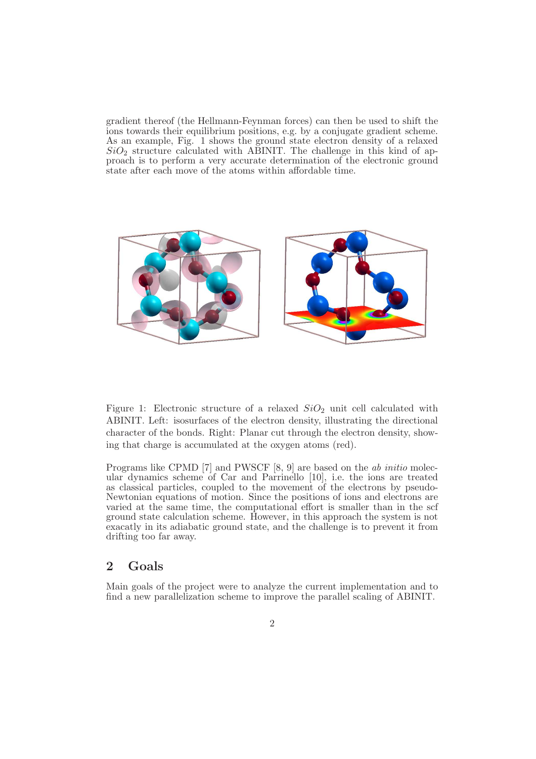gradient thereof (the Hellmann-Feynman forces) can then be used to shift the ions towards their equilibrium positions, e.g. by a conjugate gradient scheme. As an example, Fig. 1 shows the ground state electron density of a relaxed  $SiO<sub>2</sub>$  structure calculated with ABINIT. The challenge in this kind of approach is to perform a very accurate determination of the electronic ground state after each move of the atoms within affordable time.



Figure 1: Electronic structure of a relaxed  $SiO<sub>2</sub>$  unit cell calculated with ABINIT. Left: isosurfaces of the electron density, illustrating the directional character of the bonds. Right: Planar cut through the electron density, showing that charge is accumulated at the oxygen atoms (red).

Programs like CPMD [7] and PWSCF [8, 9] are based on the ab initio molecular dynamics scheme of Car and Parrinello [10], i.e. the ions are treated as classical particles, coupled to the movement of the electrons by pseudo-Newtonian equations of motion. Since the positions of ions and electrons are varied at the same time, the computational effort is smaller than in the scf ground state calculation scheme. However, in this approach the system is not exacatly in its adiabatic ground state, and the challenge is to prevent it from drifting too far away.

## 2 Goals

Main goals of the project were to analyze the current implementation and to find a new parallelization scheme to improve the parallel scaling of ABINIT.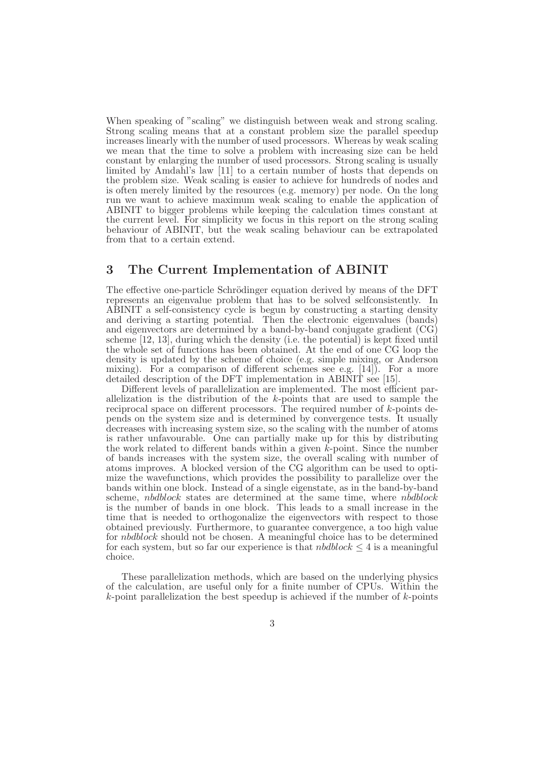When speaking of "scaling" we distinguish between weak and strong scaling. Strong scaling means that at a constant problem size the parallel speedup increases linearly with the number of used processors. Whereas by weak scaling we mean that the time to solve a problem with increasing size can be held constant by enlarging the number of used processors. Strong scaling is usually limited by Amdahl's law [11] to a certain number of hosts that depends on the problem size. Weak scaling is easier to achieve for hundreds of nodes and is often merely limited by the resources (e.g. memory) per node. On the long run we want to achieve maximum weak scaling to enable the application of ABINIT to bigger problems while keeping the calculation times constant at the current level. For simplicity we focus in this report on the strong scaling behaviour of ABINIT, but the weak scaling behaviour can be extrapolated from that to a certain extend.

#### 3 The Current Implementation of ABINIT

The effective one-particle Schrödinger equation derived by means of the DFT represents an eigenvalue problem that has to be solved selfconsistently. In ABINIT a self-consistency cycle is begun by constructing a starting density and deriving a starting potential. Then the electronic eigenvalues (bands) and eigenvectors are determined by a band-by-band conjugate gradient (CG) scheme [12, 13], during which the density (i.e. the potential) is kept fixed until the whole set of functions has been obtained. At the end of one CG loop the density is updated by the scheme of choice (e.g. simple mixing, or Anderson mixing). For a comparison of different schemes see e.g. [14]). For a more detailed description of the DFT implementation in ABINIT see [15].

Different levels of parallelization are implemented. The most efficient parallelization is the distribution of the k-points that are used to sample the reciprocal space on different processors. The required number of k-points depends on the system size and is determined by convergence tests. It usually decreases with increasing system size, so the scaling with the number of atoms is rather unfavourable. One can partially make up for this by distributing the work related to different bands within a given  $\hat{k}$ -point. Since the number of bands increases with the system size, the overall scaling with number of atoms improves. A blocked version of the CG algorithm can be used to optimize the wavefunctions, which provides the possibility to parallelize over the bands within one block. Instead of a single eigenstate, as in the band-by-band scheme, nbdblock states are determined at the same time, where nbdblock is the number of bands in one block. This leads to a small increase in the time that is needed to orthogonalize the eigenvectors with respect to those obtained previously. Furthermore, to guarantee convergence, a too high value for nbdblock should not be chosen. A meaningful choice has to be determined for each system, but so far our experience is that  $nbdblock \leq 4$  is a meaningful choice.

These parallelization methods, which are based on the underlying physics of the calculation, are useful only for a finite number of CPUs. Within the  $k$ -point parallelization the best speedup is achieved if the number of  $k$ -points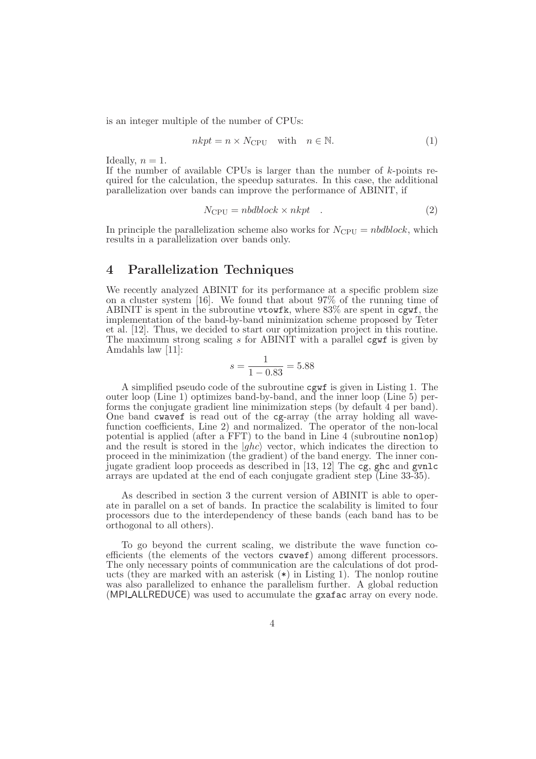is an integer multiple of the number of CPUs:

$$
nkpt = n \times N_{\rm CPU} \quad \text{with} \quad n \in \mathbb{N}.\tag{1}
$$

Ideally,  $n = 1$ .

If the number of available CPUs is larger than the number of  $k$ -points required for the calculation, the speedup saturates. In this case, the additional parallelization over bands can improve the performance of ABINIT, if

$$
N_{\rm CPU} = nbdblock \times nkpt \quad . \tag{2}
$$

In principle the parallelization scheme also works for  $N_{\text{CPU}} = n \text{bdblock}$ , which results in a parallelization over bands only.

#### 4 Parallelization Techniques

We recently analyzed ABINIT for its performance at a specific problem size on a cluster system [16]. We found that about 97% of the running time of ABINIT is spent in the subroutine vtowfk, where 83% are spent in cgwf, the implementation of the band-by-band minimization scheme proposed by Teter et al. [12]. Thus, we decided to start our optimization project in this routine. The maximum strong scaling  $s$  for ABINIT with a parallel cgwf is given by Amdahls law [11]:

$$
s = \frac{1}{1 - 0.83} = 5.88
$$

A simplified pseudo code of the subroutine cgwf is given in Listing 1. The outer loop (Line 1) optimizes band-by-band, and the inner loop (Line 5) performs the conjugate gradient line minimization steps (by default 4 per band). One band cwavef is read out of the cg-array (the array holding all wavefunction coefficients, Line 2) and normalized. The operator of the non-local potential is applied (after a FFT) to the band in Line 4 (subroutine nonlop) and the result is stored in the  $|ghc\rangle$  vector, which indicates the direction to proceed in the minimization (the gradient) of the band energy. The inner conjugate gradient loop proceeds as described in [13, 12] The cg, ghc and gvnlc arrays are updated at the end of each conjugate gradient step (Line 33-35).

As described in section 3 the current version of ABINIT is able to operate in parallel on a set of bands. In practice the scalability is limited to four processors due to the interdependency of these bands (each band has to be orthogonal to all others).

To go beyond the current scaling, we distribute the wave function coefficients (the elements of the vectors cwavef) among different processors. The only necessary points of communication are the calculations of dot products (they are marked with an asterisk (\*) in Listing 1). The nonlop routine was also parallelized to enhance the parallelism further. A global reduction (MPI\_ALLREDUCE) was used to accumulate the gxafac array on every node.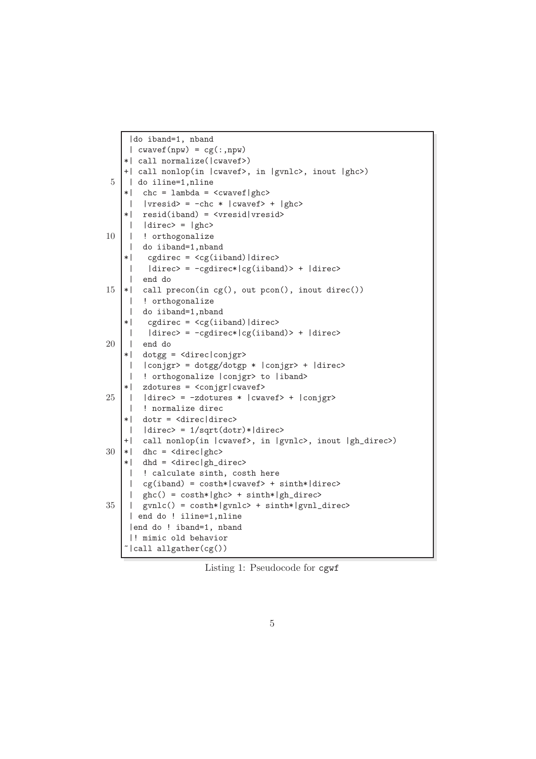```
|do iband=1, nband
    | cwavef(npw) = cg(:,npw)*| call normalize(|cwavef>)
   +| call nonlop(in |cwavef>, in |gvnlc>, inout |ghc>)
 5 | do iline=1,nline
    *| chc = lambda = <cwavef|ghc>
    | |vresid\rangle = -chc * |cwavef\rangle + |ghc\rangle*| resid(iband) = <vresid|vresid>
    | | direc> = |ghc>
10 | | ! orthogonalize
    | do iiband=1,nband
    *| cgdirec = <cg(iiband)|direc>
    | |direc> = -cgdirec*|cg(iiband)> + |direc>
    | end do
15 |*| call precon(in cg(), out pcon(), inout direc())
    | ! orthogonalize
    | do iiband=1,nband
    *| cgdirec = <cg(iiband)|direc>
    | |divec\rangle = -cgdirec*|cg(iiband)\rangle + |direc\rangle20 | end do
    *| dotgg = <direc|conjgr>
    | |conjgr> = dotgg/dotgp * |conjgr> + |direc>
    | ! orthogonalize |conjgr> to |iband>
    *| zdotures = <conjgr|cwavef>
25 | | |direc> = -zdotures * |cwavef> + |conjgr>
    | ! normalize direc
    *| dotr = <direc|direc>
    | |direc> = 1/sqrt(dotr)*|direc>
    +| call nonlop(in |cwavef>, in |gvnlc>, inout |gh_direc>)
30 \times | dhc = <direc|ghc>
    *| dhd = <direc|gh_direc>
    | ! calculate sinth, costh here
    | cg(iband) = costh*|cwavef> + sinth*|direc>
    | ghc() = \cosh*|ghc> + \sinth*|gh_d \text{ since}35 | | gvnlc() = costh*|gvnlc> + sinth*|gvnl_direc>
     | end do ! iline=1,nline
     |end do ! iband=1, nband
    |! mimic old behavior
    \tilde{\text{1}}call allgather(cg())
```
Listing 1: Pseudocode for cgwf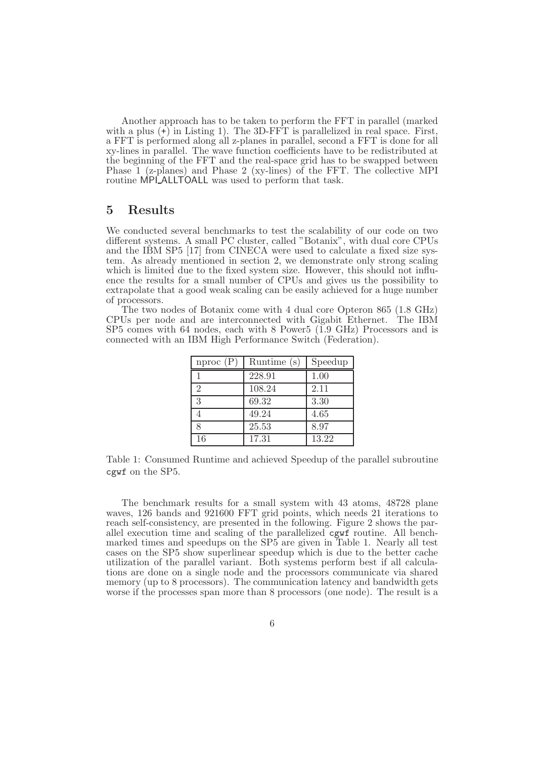Another approach has to be taken to perform the FFT in parallel (marked with a plus  $(+)$  in Listing 1). The 3D-FFT is parallelized in real space. First, a FFT is performed along all z-planes in parallel, second a FFT is done for all xy-lines in parallel. The wave function coefficients have to be redistributed at the beginning of the FFT and the real-space grid has to be swapped between Phase 1 (z-planes) and Phase 2 (xy-lines) of the FFT. The collective MPI routine MPI ALLTOALL was used to perform that task.

#### 5 Results

We conducted several benchmarks to test the scalability of our code on two different systems. A small PC cluster, called "Botanix", with dual core CPUs and the IBM SP5 [17] from CINECA were used to calculate a fixed size system. As already mentioned in section 2, we demonstrate only strong scaling which is limited due to the fixed system size. However, this should not influence the results for a small number of CPUs and gives us the possibility to extrapolate that a good weak scaling can be easily achieved for a huge number of processors.

The two nodes of Botanix come with 4 dual core Opteron 865 (1.8 GHz) CPUs per node and are interconnected with Gigabit Ethernet. The IBM SP5 comes with 64 nodes, each with 8 Power5 (1.9 GHz) Processors and is connected with an IBM High Performance Switch (Federation).

| nproc(P) | Runtime $(s)$ | Speedup |
|----------|---------------|---------|
|          | 228.91        | 1.00    |
| 2        | 108.24        | 2.11    |
| 3        | 69.32         | 3.30    |
| 4        | 49.24         | 4.65    |
| 8        | 25.53         | 8.97    |
| 16       | 17.31         | 13.22   |

Table 1: Consumed Runtime and achieved Speedup of the parallel subroutine cgwf on the SP5.

The benchmark results for a small system with 43 atoms, 48728 plane waves, 126 bands and 921600 FFT grid points, which needs 21 iterations to reach self-consistency, are presented in the following. Figure 2 shows the parallel execution time and scaling of the parallelized cgwf routine. All benchmarked times and speedups on the SP5 are given in Table 1. Nearly all test cases on the SP5 show superlinear speedup which is due to the better cache utilization of the parallel variant. Both systems perform best if all calculations are done on a single node and the processors communicate via shared memory (up to 8 processors). The communication latency and bandwidth gets worse if the processes span more than 8 processors (one node). The result is a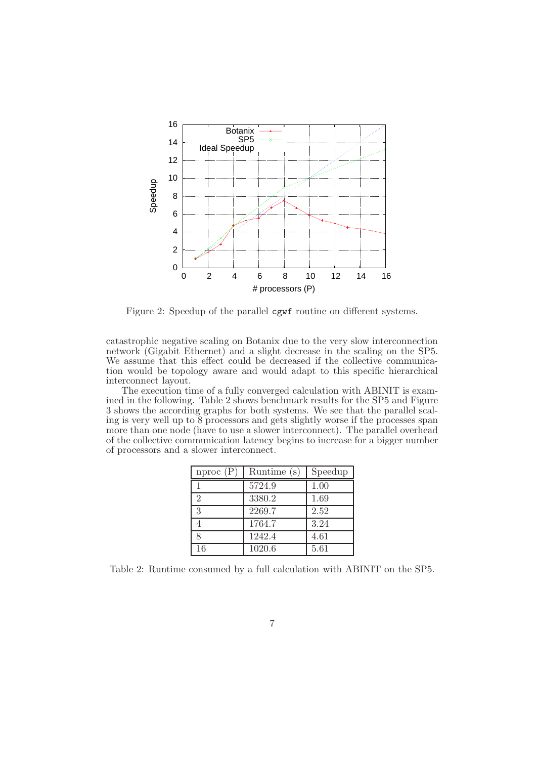

Figure 2: Speedup of the parallel cgwf routine on different systems.

catastrophic negative scaling on Botanix due to the very slow interconnection network (Gigabit Ethernet) and a slight decrease in the scaling on the SP5. We assume that this effect could be decreased if the collective communication would be topology aware and would adapt to this specific hierarchical interconnect layout.

The execution time of a fully converged calculation with ABINIT is examined in the following. Table 2 shows benchmark results for the SP5 and Figure 3 shows the according graphs for both systems. We see that the parallel scaling is very well up to 8 processors and gets slightly worse if the processes span more than one node (have to use a slower interconnect). The parallel overhead of the collective communication latency begins to increase for a bigger number of processors and a slower interconnect.

| nproc(P)       | Runtime (s) | Speedup |
|----------------|-------------|---------|
|                | 5724.9      | 1.00    |
| $\overline{2}$ | 3380.2      | 1.69    |
| 3              | 2269.7      | 2.52    |
| 4              | 1764.7      | 3.24    |
| 8              | 1242.4      | 4.61    |
| 16             | 1020.6      | 5.61    |

Table 2: Runtime consumed by a full calculation with ABINIT on the SP5.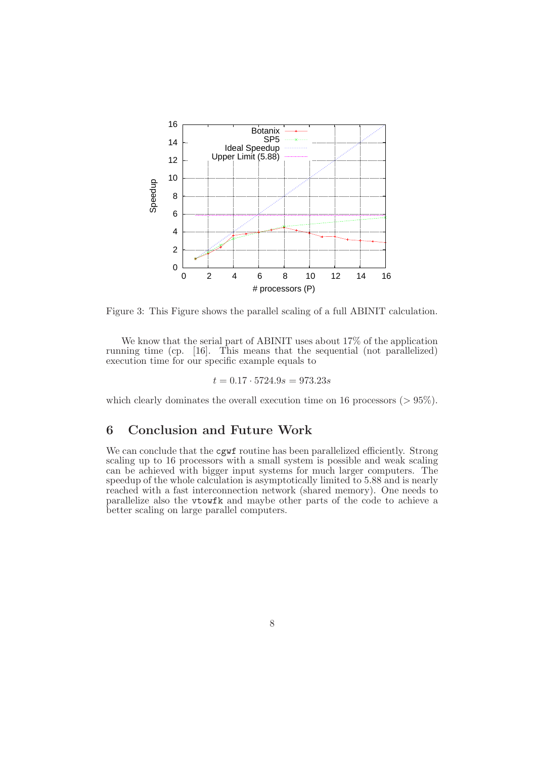

Figure 3: This Figure shows the parallel scaling of a full ABINIT calculation.

We know that the serial part of ABINIT uses about 17% of the application running time (cp. [16]. This means that the sequential (not parallelized) execution time for our specific example equals to

$$
t = 0.17 \cdot 5724.9s = 973.23s
$$

which clearly dominates the overall execution time on 16 processors ( $> 95\%$ ).

# 6 Conclusion and Future Work

We can conclude that the cgwf routine has been parallelized efficiently. Strong scaling up to 16 processors with a small system is possible and weak scaling can be achieved with bigger input systems for much larger computers. The speedup of the whole calculation is asymptotically limited to 5.88 and is nearly reached with a fast interconnection network (shared memory). One needs to parallelize also the vtowfk and maybe other parts of the code to achieve a better scaling on large parallel computers.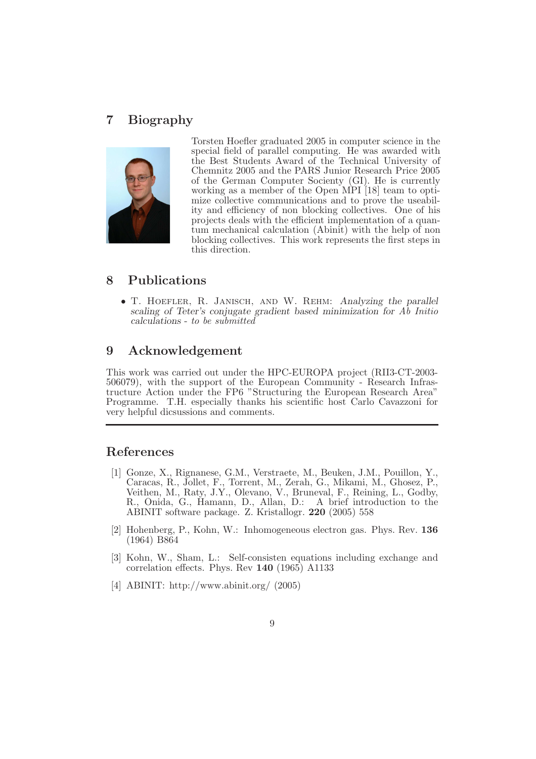# 7 Biography



Torsten Hoefler graduated 2005 in computer science in the special field of parallel computing. He was awarded with the Best Students Award of the Technical University of Chemnitz 2005 and the PARS Junior Research Price 2005 of the German Computer Socienty (GI). He is currently working as a member of the Open MPI [18] team to optimize collective communications and to prove the useability and efficiency of non blocking collectives. One of his projects deals with the efficient implementation of a quantum mechanical calculation (Abinit) with the help of non blocking collectives. This work represents the first steps in this direction.

### 8 Publications

• T. HOEFLER, R. JANISCH, AND W. REHM: Analyzing the parallel scaling of Teter's conjugate gradient based minimization for Ab Initio calculations - to be submitted

### 9 Acknowledgement

This work was carried out under the HPC-EUROPA project (RII3-CT-2003- 506079), with the support of the European Community - Research Infrastructure Action under the FP6 "Structuring the European Research Area" Programme. T.H. especially thanks his scientific host Carlo Cavazzoni for very helpful dicsussions and comments.

#### References

- [1] Gonze, X., Rignanese, G.M., Verstraete, M., Beuken, J.M., Pouillon, Y., Caracas, R., Jollet, F., Torrent, M., Zerah, G., Mikami, M., Ghosez, P., Veithen, M., Raty, J.Y., Olevano, V., Bruneval, F., Reining, L., Godby, R., Onida, G., Hamann, D., Allan, D.: A brief introduction to the ABINIT software package. Z. Kristallogr. 220 (2005) 558
- [2] Hohenberg, P., Kohn, W.: Inhomogeneous electron gas. Phys. Rev. 136 (1964) B864
- [3] Kohn, W., Sham, L.: Self-consisten equations including exchange and correlation effects. Phys. Rev 140 (1965) A1133
- [4] ABINIT: http://www.abinit.org/ (2005)